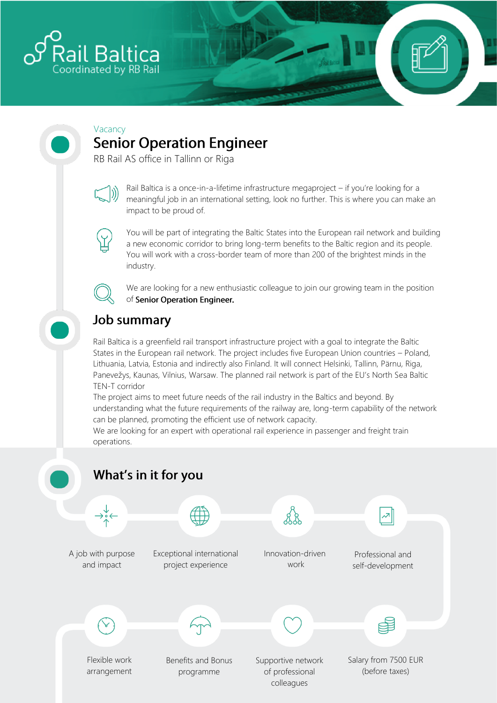

# Vacancy

**Senior Operation Engineer** 

RB Rail AS office in Tallinn or Riga



Rail Baltica is a once-in-a-lifetime infrastructure megaproject – if you're looking for a meaningful job in an international setting, look no further. This is where you can make an impact to be proud of.



You will be part of integrating the Baltic States into the European rail network and building a new economic corridor to bring long-term benefits to the Baltic region and its people. You will work with a cross-border team of more than 200 of the brightest minds in the industry.



We are looking for a new enthusiastic colleague to join our growing team in the position of Senior Operation Engineer.

## **Job summary**

Rail Baltica is a greenfield rail transport infrastructure project with a goal to integrate the Baltic States in the European rail network. The project includes five European Union countries – Poland, Lithuania, Latvia, Estonia and indirectly also Finland. It will connect Helsinki, Tallinn, Pärnu, Riga, Panevežys, Kaunas, Vilnius, Warsaw. The planned rail network is part of the EU's North Sea Baltic TEN-T corridor

The project aims to meet future needs of the rail industry in the Baltics and beyond. By understanding what the future requirements of the railway are, long-term capability of the network can be planned, promoting the efficient use of network capacity.

We are looking for an expert with operational rail experience in passenger and freight train operations.